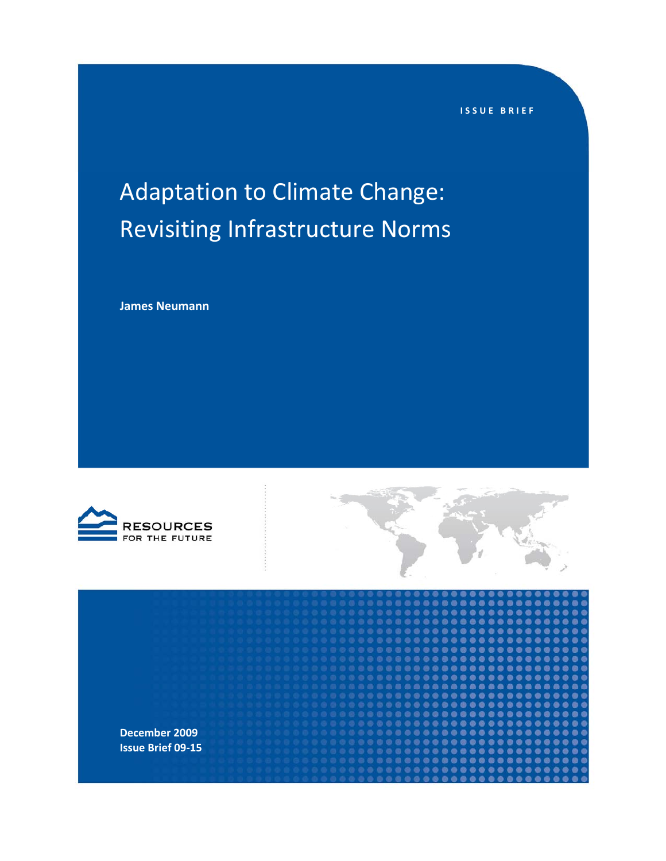**ISSUE BRIEF**

# Adaptation to Climate Change: Revisiting Infrastructure Norms

**James Neumann**





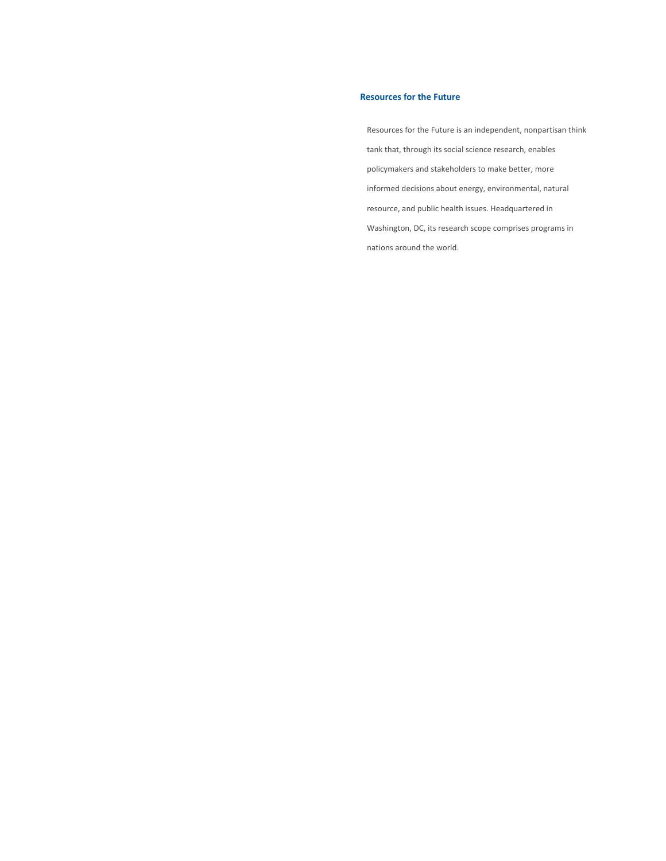#### **Resources for the Future**

Resources for the Future is an independent, nonpartisan think tank that, through its social science research, enables policymakers and stakeholders to make better, more informed decisions about energy, environmental, natural resource, and public health issues. Headquartered in Washington, DC, its research scope comprises programs in nations around the world.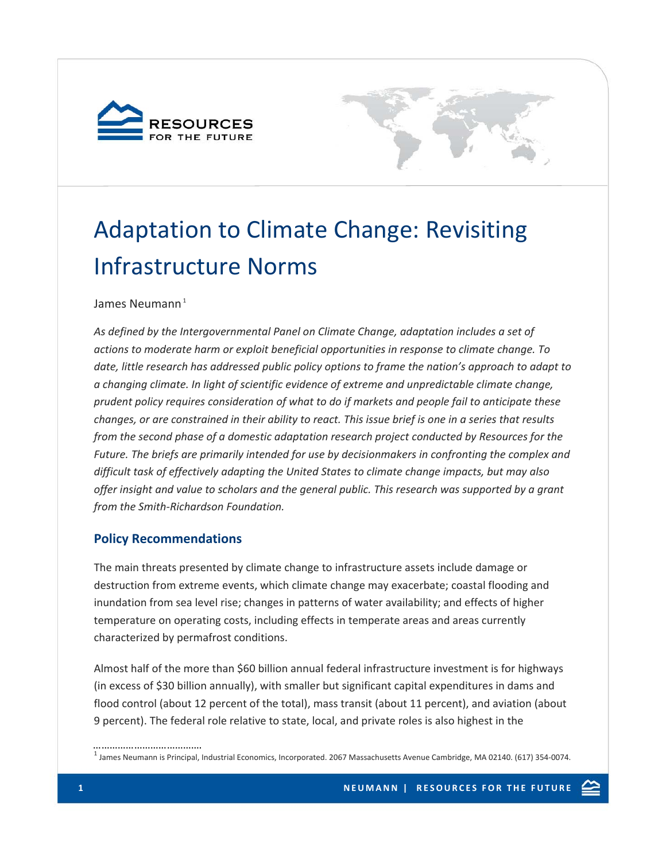



# Adaptation to Climate Change: Revisiting Infrastructure Norms

## James Neumann $<sup>1</sup>$ </sup>

*As defined by the Intergovernmental Panel on Climate Change, adaptation includes a set of actions to moderate harm or exploit beneficial opportunities in response to climate change. To date, little research has addressed public policy options to frame the nation's approach to adapt to a changing climate. In light of scientific evidence of extreme and unpredictable climate change, prudent policy requires consideration of what to do if markets and people fail to anticipate these* changes, or are constrained in their ability to react. This issue brief is one in a series that results *from the second phase of a domestic adaptation research project conducted by Resources for the Future. The briefs are primarily intended for use by decisionmakers in confronting the complex and difficult task of effectively adapting the United States to climate change impacts, but may also offer insight and value to scholars and the general public. This research was supported by a grant from the Smith‐Richardson Foundation.*

# **Policy Recommendations**

The main threats presented by climate change to infrastructure assets include damage or destruction from extreme events, which climate change may exacerbate; coastal flooding and inundation from sea level rise; changes in patterns of water availability; and effects of higher temperature on operating costs, including effects in temperate areas and areas currently characterized by permafrost conditions.

Almost half of the more than \$60 billion annual federal infrastructure investment is for highways (in excess of \$30 billion annually), with smaller but significant capital expenditures in dams and flood control (about 12 percent of the total), mass transit (about 11 percent), and aviation (about 9 percent). The federal role relative to state, local, and private roles is also highest in the

………………………………….

 $^1$  James Neumann is Principal, Industrial Economics, Incorporated. 2067 Massachusetts Avenue Cambridge, MA 02140. (617) 354-0074.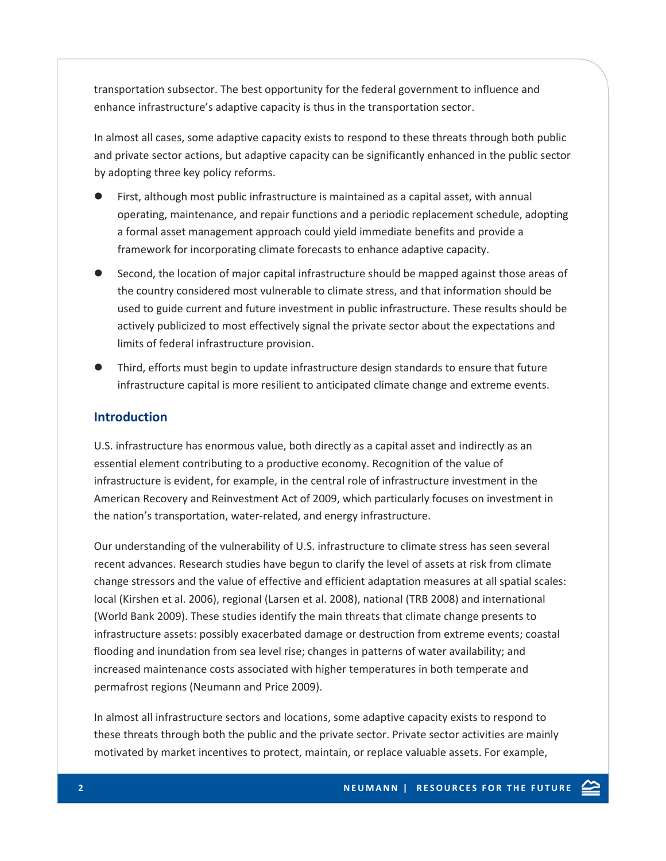transportation subsector. The best opportunity for the federal government to influence and enhance infrastructure's adaptive capacity is thus in the transportation sector.

In almost all cases, some adaptive capacity exists to respond to these threats through both public and private sector actions, but adaptive capacity can be significantly enhanced in the public sector by adopting three key policy reforms.

- First, although most public infrastructure is maintained as a capital asset, with annual operating, maintenance, and repair functions and a periodic replacement schedule, adopting a formal asset management approach could yield immediate benefits and provide a framework for incorporating climate forecasts to enhance adaptive capacity.
- Second, the location of major capital infrastructure should be mapped against those areas of the country considered most vulnerable to climate stress, and that information should be used to guide current and future investment in public infrastructure. These results should be actively publicized to most effectively signal the private sector about the expectations and limits of federal infrastructure provision.
- z Third, efforts must begin to update infrastructure design standards to ensure that future infrastructure capital is more resilient to anticipated climate change and extreme events.

### **Introduction**

U.S. infrastructure has enormous value, both directly as a capital asset and indirectly as an essential element contributing to a productive economy. Recognition of the value of infrastructure is evident, for example, in the central role of infrastructure investment in the American Recovery and Reinvestment Act of 2009, which particularly focuses on investment in the nation's transportation, water‐related, and energy infrastructure.

Our understanding of the vulnerability of U.S. infrastructure to climate stress has seen several recent advances. Research studies have begun to clarify the level of assets at risk from climate change stressors and the value of effective and efficient adaptation measures at all spatial scales: local (Kirshen et al. 2006), regional (Larsen et al. 2008), national (TRB 2008) and international (World Bank 2009). These studies identify the main threats that climate change presents to infrastructure assets: possibly exacerbated damage or destruction from extreme events; coastal flooding and inundation from sea level rise; changes in patterns of water availability; and increased maintenance costs associated with higher temperatures in both temperate and permafrost regions (Neumann and Price 2009).

In almost all infrastructure sectors and locations, some adaptive capacity exists to respond to these threats through both the public and the private sector. Private sector activities are mainly motivated by market incentives to protect, maintain, or replace valuable assets. For example,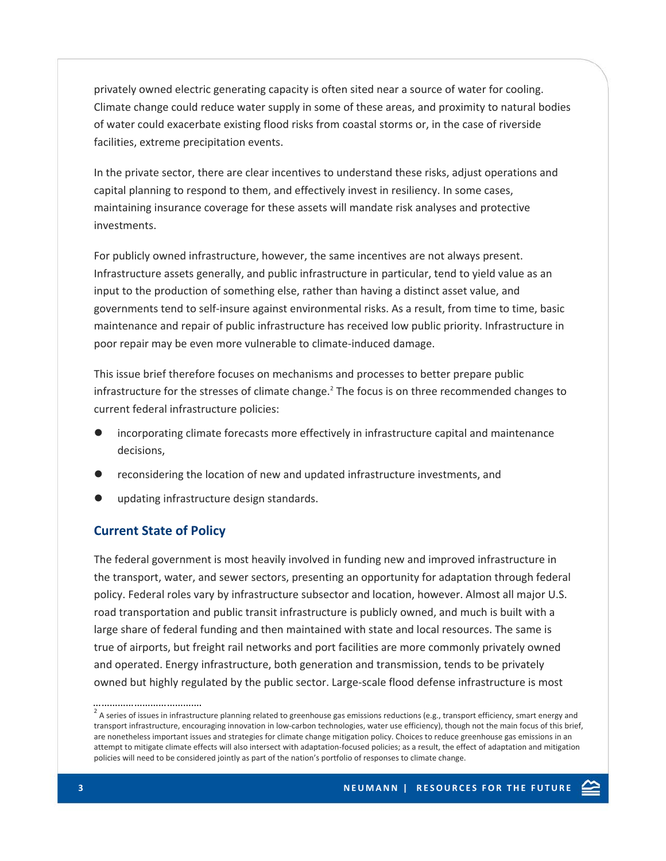privately owned electric generating capacity is often sited near a source of water for cooling. Climate change could reduce water supply in some of these areas, and proximity to natural bodies of water could exacerbate existing flood risks from coastal storms or, in the case of riverside facilities, extreme precipitation events.

In the private sector, there are clear incentives to understand these risks, adjust operations and capital planning to respond to them, and effectively invest in resiliency. In some cases, maintaining insurance coverage for these assets will mandate risk analyses and protective investments.

For publicly owned infrastructure, however, the same incentives are not always present. Infrastructure assets generally, and public infrastructure in particular, tend to yield value as an input to the production of something else, rather than having a distinct asset value, and governments tend to self‐insure against environmental risks. As a result, from time to time, basic maintenance and repair of public infrastructure has received low public priority. Infrastructure in poor repair may be even more vulnerable to climate‐induced damage.

This issue brief therefore focuses on mechanisms and processes to better prepare public infrastructure for the stresses of climate change.<sup>2</sup> The focus is on three recommended changes to current federal infrastructure policies:

- incorporating climate forecasts more effectively in infrastructure capital and maintenance decisions,
- reconsidering the location of new and updated infrastructure investments, and
- updating infrastructure design standards.

# **Current State of Policy**

The federal government is most heavily involved in funding new and improved infrastructure in the transport, water, and sewer sectors, presenting an opportunity for adaptation through federal policy. Federal roles vary by infrastructure subsector and location, however. Almost all major U.S. road transportation and public transit infrastructure is publicly owned, and much is built with a large share of federal funding and then maintained with state and local resources. The same is true of airports, but freight rail networks and port facilities are more commonly privately owned and operated. Energy infrastructure, both generation and transmission, tends to be privately owned but highly regulated by the public sector. Large‐scale flood defense infrastructure is most

<sup>………………………………….</sup>   $2$  A series of issues in infrastructure planning related to greenhouse gas emissions reductions (e.g., transport efficiency, smart energy and transport infrastructure, encouraging innovation in low‐carbon technologies, water use efficiency), though not the main focus of this brief, are nonetheless important issues and strategies for climate change mitigation policy. Choices to reduce greenhouse gas emissions in an attempt to mitigate climate effects will also intersect with adaptation‐focused policies; as a result, the effect of adaptation and mitigation policies will need to be considered jointly as part of the nation's portfolio of responses to climate change.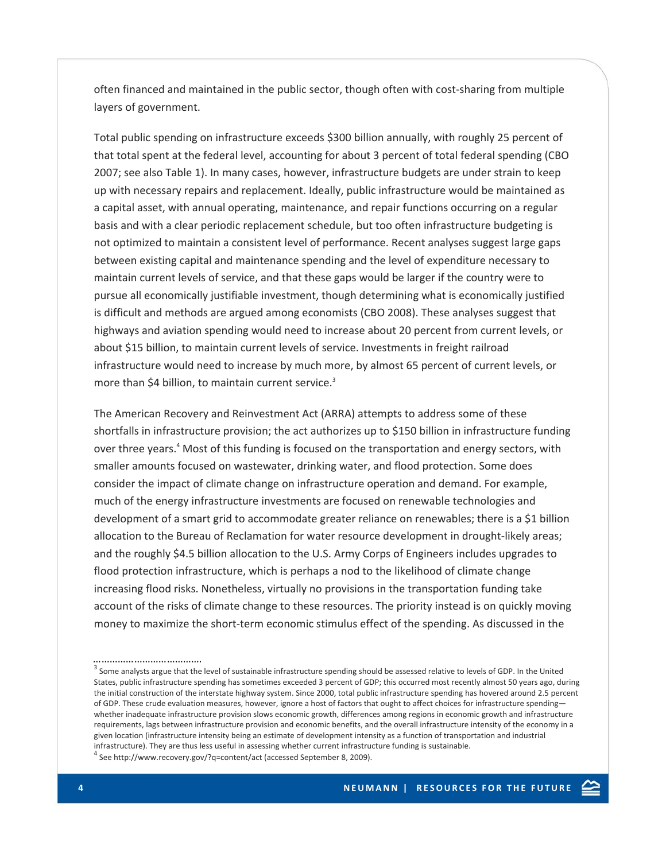often financed and maintained in the public sector, though often with cost‐sharing from multiple layers of government.

Total public spending on infrastructure exceeds \$300 billion annually, with roughly 25 percent of that total spent at the federal level, accounting for about 3 percent of total federal spending (CBO 2007; see also Table 1). In many cases, however, infrastructure budgets are under strain to keep up with necessary repairs and replacement. Ideally, public infrastructure would be maintained as a capital asset, with annual operating, maintenance, and repair functions occurring on a regular basis and with a clear periodic replacement schedule, but too often infrastructure budgeting is not optimized to maintain a consistent level of performance. Recent analyses suggest large gaps between existing capital and maintenance spending and the level of expenditure necessary to maintain current levels of service, and that these gaps would be larger if the country were to pursue all economically justifiable investment, though determining what is economically justified is difficult and methods are argued among economists (CBO 2008). These analyses suggest that highways and aviation spending would need to increase about 20 percent from current levels, or about \$15 billion, to maintain current levels of service. Investments in freight railroad infrastructure would need to increase by much more, by almost 65 percent of current levels, or more than \$4 billion, to maintain current service.<sup>3</sup>

The American Recovery and Reinvestment Act (ARRA) attempts to address some of these shortfalls in infrastructure provision; the act authorizes up to \$150 billion in infrastructure funding over three years.<sup>4</sup> Most of this funding is focused on the transportation and energy sectors, with smaller amounts focused on wastewater, drinking water, and flood protection. Some does consider the impact of climate change on infrastructure operation and demand. For example, much of the energy infrastructure investments are focused on renewable technologies and development of a smart grid to accommodate greater reliance on renewables; there is a \$1 billion allocation to the Bureau of Reclamation for water resource development in drought‐likely areas; and the roughly \$4.5 billion allocation to the U.S. Army Corps of Engineers includes upgrades to flood protection infrastructure, which is perhaps a nod to the likelihood of climate change increasing flood risks. Nonetheless, virtually no provisions in the transportation funding take account of the risks of climate change to these resources. The priority instead is on quickly moving money to maximize the short‐term economic stimulus effect of the spending. As discussed in the

………………………………….

 $3$  Some analysts argue that the level of sustainable infrastructure spending should be assessed relative to levels of GDP. In the United States, public infrastructure spending has sometimes exceeded 3 percent of GDP; this occurred most recently almost 50 years ago, during the initial construction of the interstate highway system. Since 2000, total public infrastructure spending has hovered around 2.5 percent of GDP. These crude evaluation measures, however, ignore a host of factors that ought to affect choices for infrastructure spending whether inadequate infrastructure provision slows economic growth, differences among regions in economic growth and infrastructure requirements, lags between infrastructure provision and economic benefits, and the overall infrastructure intensity of the economy in a given location (infrastructure intensity being an estimate of development intensity as a function of transportation and industrial infrastructure). They are thus less useful in assessing whether current infrastructure funding is sustainable.<br><sup>4</sup> See http://www.recovery.gov/?q=content/act (accessed September 8, 2009).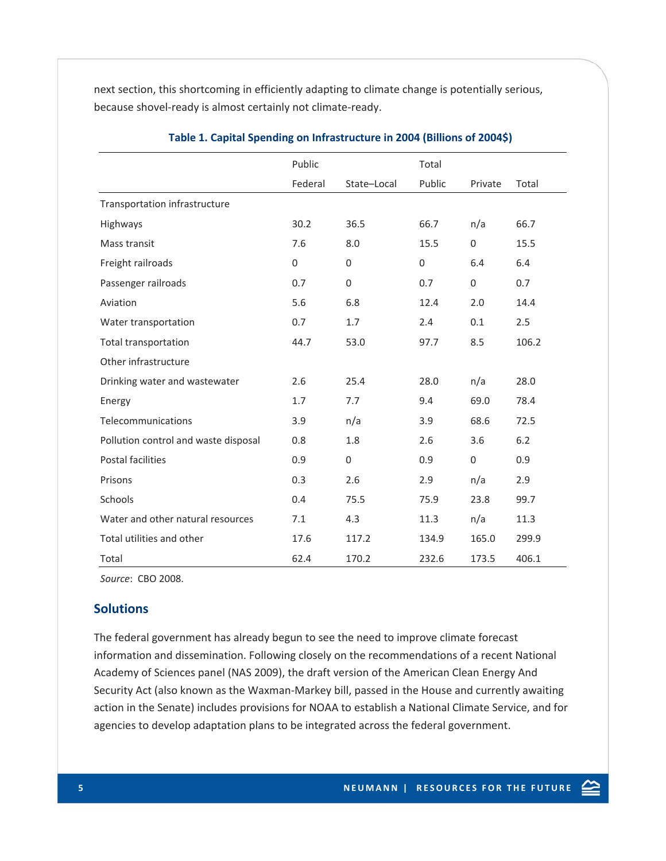next section, this shortcoming in efficiently adapting to climate change is potentially serious, because shovel‐ready is almost certainly not climate‐ready.

|                                      | Public  |                  | Total        |                  |       |
|--------------------------------------|---------|------------------|--------------|------------------|-------|
|                                      | Federal | State-Local      | Public       | Private          | Total |
| Transportation infrastructure        |         |                  |              |                  |       |
| Highways                             | 30.2    | 36.5             | 66.7         | n/a              | 66.7  |
| Mass transit                         | 7.6     | 8.0              | 15.5         | $\mathbf 0$      | 15.5  |
| Freight railroads                    | 0       | $\mathbf{0}$     | $\mathbf{0}$ | 6.4              | 6.4   |
| Passenger railroads                  | 0.7     | $\boldsymbol{0}$ | 0.7          | $\boldsymbol{0}$ | 0.7   |
| Aviation                             | 5.6     | 6.8              | 12.4         | 2.0              | 14.4  |
| Water transportation                 | 0.7     | 1.7              | 2.4          | 0.1              | 2.5   |
| <b>Total transportation</b>          | 44.7    | 53.0             | 97.7         | 8.5              | 106.2 |
| Other infrastructure                 |         |                  |              |                  |       |
| Drinking water and wastewater        | 2.6     | 25.4             | 28.0         | n/a              | 28.0  |
| Energy                               | 1.7     | 7.7              | 9.4          | 69.0             | 78.4  |
| Telecommunications                   | 3.9     | n/a              | 3.9          | 68.6             | 72.5  |
| Pollution control and waste disposal | 0.8     | 1.8              | 2.6          | 3.6              | 6.2   |
| Postal facilities                    | 0.9     | $\boldsymbol{0}$ | 0.9          | $\mathbf 0$      | 0.9   |
| Prisons                              | 0.3     | 2.6              | 2.9          | n/a              | 2.9   |
| Schools                              | 0.4     | 75.5             | 75.9         | 23.8             | 99.7  |
| Water and other natural resources    | 7.1     | 4.3              | 11.3         | n/a              | 11.3  |
| Total utilities and other            | 17.6    | 117.2            | 134.9        | 165.0            | 299.9 |
| Total                                | 62.4    | 170.2            | 232.6        | 173.5            | 406.1 |

## **Table 1. Capital Spending on Infrastructure in 2004 (Billions of 2004\$)**

*Source*: CBO 2008.

## **Solutions**

The federal government has already begun to see the need to improve climate forecast information and dissemination. Following closely on the recommendations of a recent National Academy of Sciences panel (NAS 2009), the draft version of the American Clean Energy And Security Act (also known as the Waxman‐Markey bill, passed in the House and currently awaiting action in the Senate) includes provisions for NOAA to establish a National Climate Service, and for agencies to develop adaptation plans to be integrated across the federal government.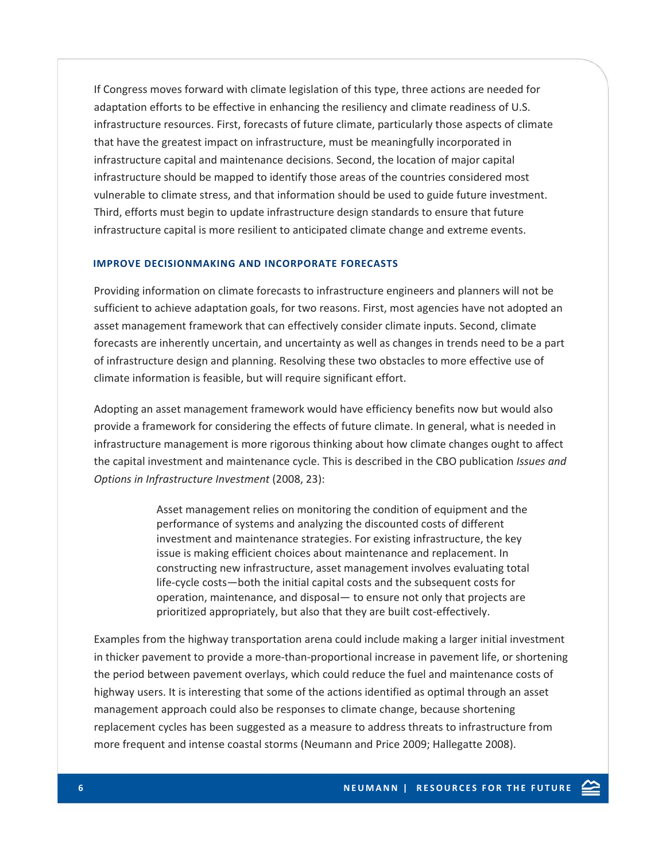If Congress moves forward with climate legislation of this type, three actions are needed for adaptation efforts to be effective in enhancing the resiliency and climate readiness of U.S. infrastructure resources. First, forecasts of future climate, particularly those aspects of climate that have the greatest impact on infrastructure, must be meaningfully incorporated in infrastructure capital and maintenance decisions. Second, the location of major capital infrastructure should be mapped to identify those areas of the countries considered most vulnerable to climate stress, and that information should be used to guide future investment. Third, efforts must begin to update infrastructure design standards to ensure that future infrastructure capital is more resilient to anticipated climate change and extreme events.

#### **IMPROVE DECISIONMAKING AND INCORPORATE FORECASTS**

Providing information on climate forecasts to infrastructure engineers and planners will not be sufficient to achieve adaptation goals, for two reasons. First, most agencies have not adopted an asset management framework that can effectively consider climate inputs. Second, climate forecasts are inherently uncertain, and uncertainty as well as changes in trends need to be a part of infrastructure design and planning. Resolving these two obstacles to more effective use of climate information is feasible, but will require significant effort.

Adopting an asset management framework would have efficiency benefits now but would also provide a framework for considering the effects of future climate. In general, what is needed in infrastructure management is more rigorous thinking about how climate changes ought to affect the capital investment and maintenance cycle. This is described in the CBO publication *Issues and Options in Infrastructure Investment* (2008, 23):

> Asset management relies on monitoring the condition of equipment and the performance of systems and analyzing the discounted costs of different investment and maintenance strategies. For existing infrastructure, the key issue is making efficient choices about maintenance and replacement. In constructing new infrastructure, asset management involves evaluating total life‐cycle costs—both the initial capital costs and the subsequent costs for operation, maintenance, and disposal— to ensure not only that projects are prioritized appropriately, but also that they are built cost-effectively.

Examples from the highway transportation arena could include making a larger initial investment in thicker pavement to provide a more-than-proportional increase in pavement life, or shortening the period between pavement overlays, which could reduce the fuel and maintenance costs of highway users. It is interesting that some of the actions identified as optimal through an asset management approach could also be responses to climate change, because shortening replacement cycles has been suggested as a measure to address threats to infrastructure from more frequent and intense coastal storms (Neumann and Price 2009; Hallegatte 2008).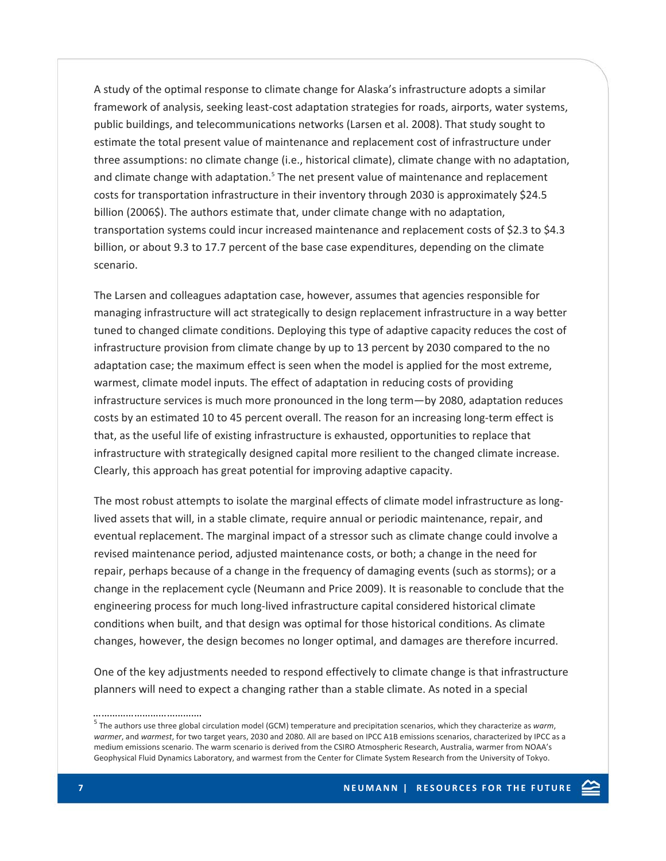A study of the optimal response to climate change for Alaska's infrastructure adopts a similar framework of analysis, seeking least‐cost adaptation strategies for roads, airports, water systems, public buildings, and telecommunications networks (Larsen et al. 2008). That study sought to estimate the total present value of maintenance and replacement cost of infrastructure under three assumptions: no climate change (i.e., historical climate), climate change with no adaptation, and climate change with adaptation. $5$  The net present value of maintenance and replacement costs for transportation infrastructure in their inventory through 2030 is approximately \$24.5 billion (2006\$). The authors estimate that, under climate change with no adaptation, transportation systems could incur increased maintenance and replacement costs of \$2.3 to \$4.3 billion, or about 9.3 to 17.7 percent of the base case expenditures, depending on the climate scenario.

The Larsen and colleagues adaptation case, however, assumes that agencies responsible for managing infrastructure will act strategically to design replacement infrastructure in a way better tuned to changed climate conditions. Deploying this type of adaptive capacity reduces the cost of infrastructure provision from climate change by up to 13 percent by 2030 compared to the no adaptation case; the maximum effect is seen when the model is applied for the most extreme, warmest, climate model inputs. The effect of adaptation in reducing costs of providing infrastructure services is much more pronounced in the long term—by 2080, adaptation reduces costs by an estimated 10 to 45 percent overall. The reason for an increasing long-term effect is that, as the useful life of existing infrastructure is exhausted, opportunities to replace that infrastructure with strategically designed capital more resilient to the changed climate increase. Clearly, this approach has great potential for improving adaptive capacity.

The most robust attempts to isolate the marginal effects of climate model infrastructure as longlived assets that will, in a stable climate, require annual or periodic maintenance, repair, and eventual replacement. The marginal impact of a stressor such as climate change could involve a revised maintenance period, adjusted maintenance costs, or both; a change in the need for repair, perhaps because of a change in the frequency of damaging events (such as storms); or a change in the replacement cycle (Neumann and Price 2009). It is reasonable to conclude that the engineering process for much long‐lived infrastructure capital considered historical climate conditions when built, and that design was optimal for those historical conditions. As climate changes, however, the design becomes no longer optimal, and damages are therefore incurred.

One of the key adjustments needed to respond effectively to climate change is that infrastructure planners will need to expect a changing rather than a stable climate. As noted in a special

………………………………….

<sup>5</sup> The authors use three global circulation model (GCM) temperature and precipitation scenarios, which they characterize as *warm*, *warmer*, and *warmest*, for two target years, 2030 and 2080. All are based on IPCC A1B emissions scenarios, characterized by IPCC as a medium emissions scenario. The warm scenario is derived from the CSIRO Atmospheric Research, Australia, warmer from NOAA's Geophysical Fluid Dynamics Laboratory, and warmest from the Center for Climate System Research from the University of Tokyo.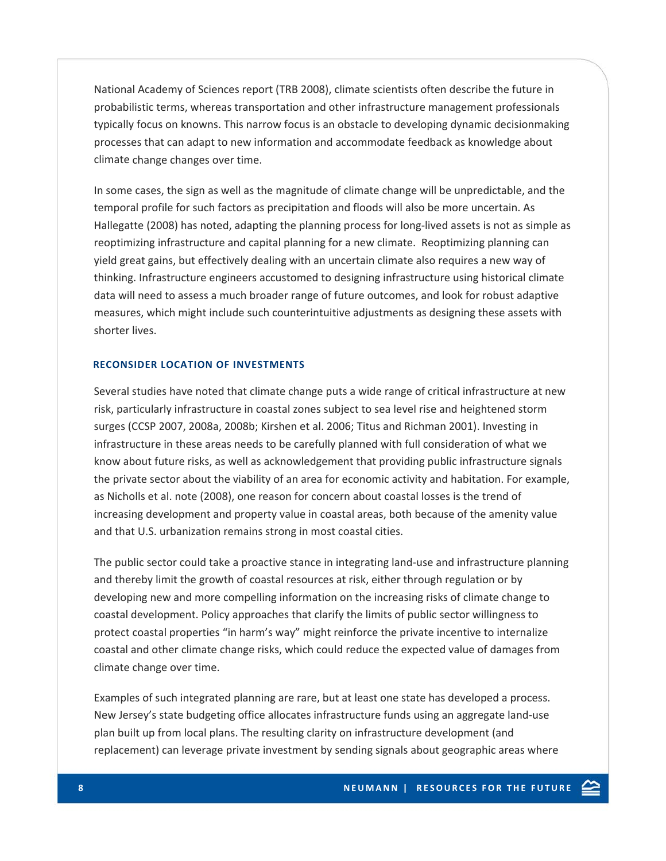National Academy of Sciences report (TRB 2008), climate scientists often describe the future in probabilistic terms, whereas transportation and other infrastructure management professionals typically focus on knowns. This narrow focus is an obstacle to developing dynamic decisionmaking processes that can adapt to new information and accommodate feedback as knowledge about climate change changes over time.

In some cases, the sign as well as the magnitude of climate change will be unpredictable, and the temporal profile for such factors as precipitation and floods will also be more uncertain. As Hallegatte (2008) has noted, adapting the planning process for long‐lived assets is not as simple as reoptimizing infrastructure and capital planning for a new climate. Reoptimizing planning can yield great gains, but effectively dealing with an uncertain climate also requires a new way of thinking. Infrastructure engineers accustomed to designing infrastructure using historical climate data will need to assess a much broader range of future outcomes, and look for robust adaptive measures, which might include such counterintuitive adjustments as designing these assets with shorter lives.

#### **RECONSIDER LOCATION OF INVESTMENTS**

Several studies have noted that climate change puts a wide range of critical infrastructure at new risk, particularly infrastructure in coastal zones subject to sea level rise and heightened storm surges (CCSP 2007, 2008a, 2008b; Kirshen et al. 2006; Titus and Richman 2001). Investing in infrastructure in these areas needs to be carefully planned with full consideration of what we know about future risks, as well as acknowledgement that providing public infrastructure signals the private sector about the viability of an area for economic activity and habitation. For example, as Nicholls et al. note (2008), one reason for concern about coastal losses is the trend of increasing development and property value in coastal areas, both because of the amenity value and that U.S. urbanization remains strong in most coastal cities.

The public sector could take a proactive stance in integrating land‐use and infrastructure planning and thereby limit the growth of coastal resources at risk, either through regulation or by developing new and more compelling information on the increasing risks of climate change to coastal development. Policy approaches that clarify the limits of public sector willingness to protect coastal properties "in harm's way" might reinforce the private incentive to internalize coastal and other climate change risks, which could reduce the expected value of damages from climate change over time.

Examples of such integrated planning are rare, but at least one state has developed a process. New Jersey's state budgeting office allocates infrastructure funds using an aggregate land‐use plan built up from local plans. The resulting clarity on infrastructure development (and replacement) can leverage private investment by sending signals about geographic areas where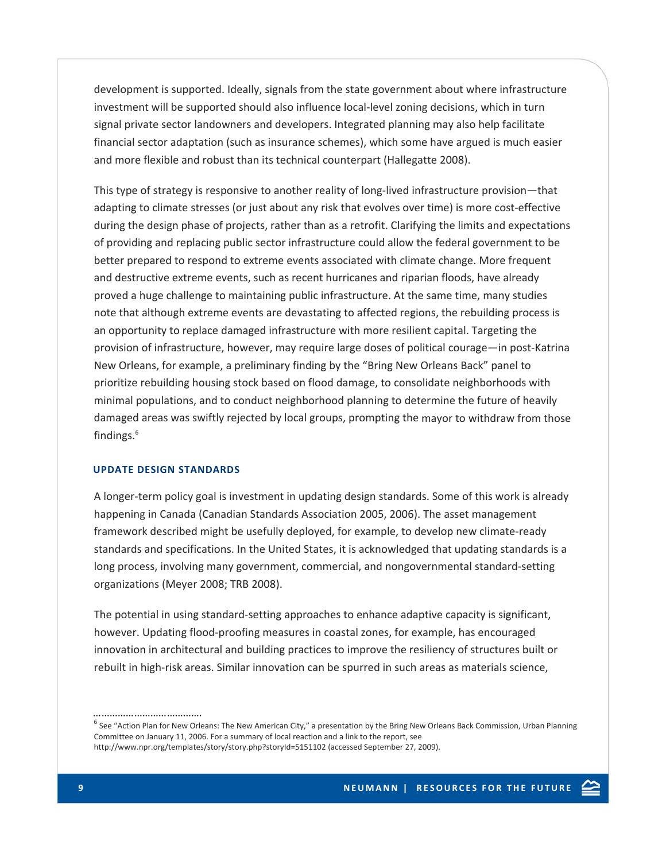development is supported. Ideally, signals from the state government about where infrastructure investment will be supported should also influence local‐level zoning decisions, which in turn signal private sector landowners and developers. Integrated planning may also help facilitate financial sector adaptation (such as insurance schemes), which some have argued is much easier and more flexible and robust than its technical counterpart (Hallegatte 2008).

This type of strategy is responsive to another reality of long-lived infrastructure provision—that adapting to climate stresses (or just about any risk that evolves over time) is more cost-effective during the design phase of projects, rather than as a retrofit. Clarifying the limits and expectations of providing and replacing public sector infrastructure could allow the federal government to be better prepared to respond to extreme events associated with climate change. More frequent and destructive extreme events, such as recent hurricanes and riparian floods, have already proved a huge challenge to maintaining public infrastructure. At the same time, many studies note that although extreme events are devastating to affected regions, the rebuilding process is an opportunity to replace damaged infrastructure with more resilient capital. Targeting the provision of infrastructure, however, may require large doses of political courage—in post‐Katrina New Orleans, for example, a preliminary finding by the "Bring New Orleans Back" panel to prioritize rebuilding housing stock based on flood damage, to consolidate neighborhoods with minimal populations, and to conduct neighborhood planning to determine the future of heavily damaged areas was swiftly rejected by local groups, prompting the mayor to withdraw from those findings.<sup>6</sup>

#### **UPDATE DESIGN STANDARDS**

………………………………….

A longer‐term policy goal is investment in updating design standards. Some of this work is already happening in Canada (Canadian Standards Association 2005, 2006). The asset management framework described might be usefully deployed, for example, to develop new climate‐ready standards and specifications. In the United States, it is acknowledged that updating standards is a long process, involving many government, commercial, and nongovernmental standard‐setting organizations (Meyer 2008; TRB 2008).

The potential in using standard‐setting approaches to enhance adaptive capacity is significant, however. Updating flood‐proofing measures in coastal zones, for example, has encouraged innovation in architectural and building practices to improve the resiliency of structures built or rebuilt in high-risk areas. Similar innovation can be spurred in such areas as materials science,

 $^6$  See "Action Plan for New Orleans: The New American City," a presentation by the Bring New Orleans Back Commission, Urban Planning Committee on January 11, 2006. For a summary of local reaction and a link to the report, see http://www.npr.org/templates/story/story.php?storyId=5151102 (accessed September 27, 2009).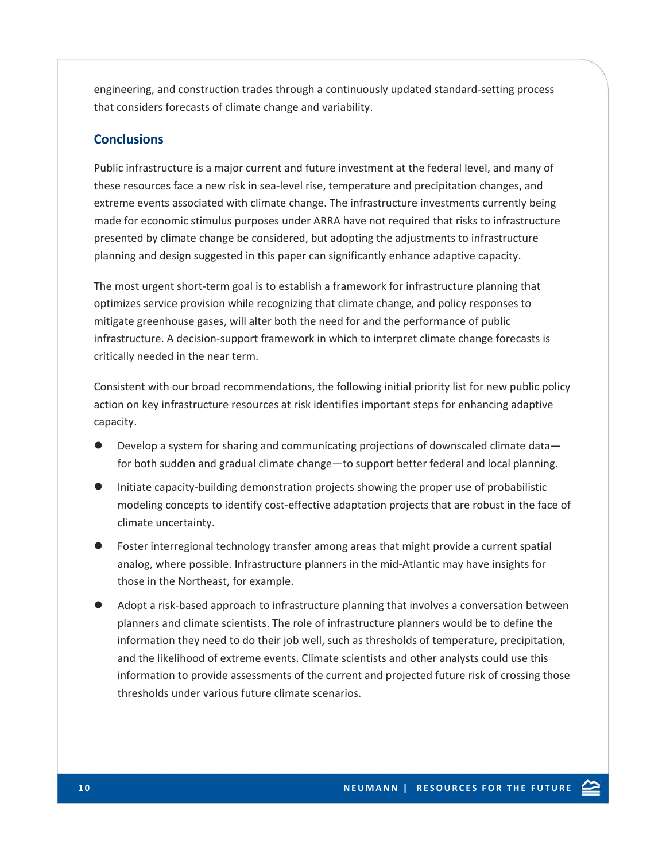engineering, and construction trades through a continuously updated standard‐setting process that considers forecasts of climate change and variability.

# **Conclusions**

Public infrastructure is a major current and future investment at the federal level, and many of these resources face a new risk in sea-level rise, temperature and precipitation changes, and extreme events associated with climate change. The infrastructure investments currently being made for economic stimulus purposes under ARRA have not required that risks to infrastructure presented by climate change be considered, but adopting the adjustments to infrastructure planning and design suggested in this paper can significantly enhance adaptive capacity.

The most urgent short-term goal is to establish a framework for infrastructure planning that optimizes service provision while recognizing that climate change, and policy responses to mitigate greenhouse gases, will alter both the need for and the performance of public infrastructure. A decision-support framework in which to interpret climate change forecasts is critically needed in the near term.

Consistent with our broad recommendations, the following initial priority list for new public policy action on key infrastructure resources at risk identifies important steps for enhancing adaptive capacity.

- Develop a system for sharing and communicating projections of downscaled climate datafor both sudden and gradual climate change—to support better federal and local planning.
- Initiate capacity-building demonstration projects showing the proper use of probabilistic modeling concepts to identify cost-effective adaptation projects that are robust in the face of climate uncertainty.
- Foster interregional technology transfer among areas that might provide a current spatial analog, where possible. Infrastructure planners in the mid‐Atlantic may have insights for those in the Northeast, for example.
- Adopt a risk-based approach to infrastructure planning that involves a conversation between planners and climate scientists. The role of infrastructure planners would be to define the information they need to do their job well, such as thresholds of temperature, precipitation, and the likelihood of extreme events. Climate scientists and other analysts could use this information to provide assessments of the current and projected future risk of crossing those thresholds under various future climate scenarios.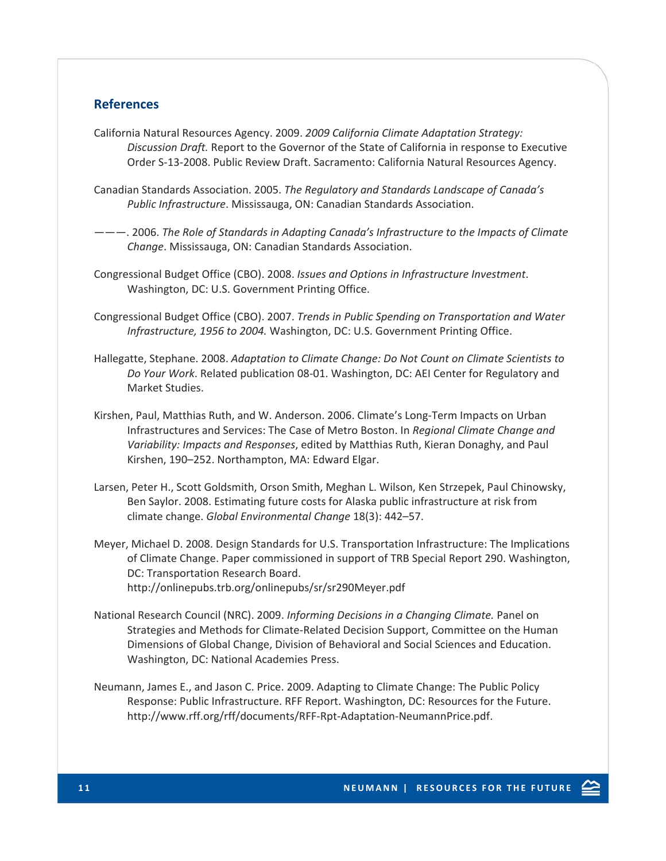# **References**

- California Natural Resources Agency. 2009. *2009 California Climate Adaptation Strategy: Discussion Draft.* Report to the Governor of the State of California in response to Executive Order S‐13‐2008. Public Review Draft. Sacramento: California Natural Resources Agency.
- Canadian Standards Association. 2005. *The Regulatory and Standards Landscape of Canada's Public Infrastructure*. Mississauga, ON: Canadian Standards Association.
- ———. 2006. *The Role of Standards in Adapting Canada's Infrastructure to the Impacts of Climate Change*. Mississauga, ON: Canadian Standards Association.
- Congressional Budget Office (CBO). 2008. *Issues and Options in Infrastructure Investment*. Washington, DC: U.S. Government Printing Office.
- Congressional Budget Office (CBO). 2007. *Trends in Public Spending on Transportation and Water Infrastructure, 1956 to 2004.* Washington, DC: U.S. Government Printing Office.
- Hallegatte, Stephane. 2008. *Adaptation to Climate Change: Do Not Count on Climate Scientists to Do Your Work*. Related publication 08‐01. Washington, DC: AEI Center for Regulatory and Market Studies.
- Kirshen, Paul, Matthias Ruth, and W. Anderson. 2006. Climate's Long‐Term Impacts on Urban Infrastructures and Services: The Case of Metro Boston. In *Regional Climate Change and Variability: Impacts and Responses*, edited by Matthias Ruth, Kieran Donaghy, and Paul Kirshen, 190–252. Northampton, MA: Edward Elgar.
- Larsen, Peter H., Scott Goldsmith, Orson Smith, Meghan L. Wilson, Ken Strzepek, Paul Chinowsky, Ben Saylor. 2008. Estimating future costs for Alaska public infrastructure at risk from climate change. *Global Environmental Change* 18(3): 442–57.
- Meyer, Michael D. 2008. Design Standards for U.S. Transportation Infrastructure: The Implications of Climate Change. Paper commissioned in support of TRB Special Report 290. Washington, DC: Transportation Research Board. http://onlinepubs.trb.org/onlinepubs/sr/sr290Meyer.pdf
- National Research Council (NRC). 2009. *Informing Decisions in a Changing Climate.* Panel on Strategies and Methods for Climate‐Related Decision Support, Committee on the Human Dimensions of Global Change, Division of Behavioral and Social Sciences and Education. Washington, DC: National Academies Press.
- Neumann, James E., and Jason C. Price. 2009. Adapting to Climate Change: The Public Policy Response: Public Infrastructure. RFF Report. Washington, DC: Resources for the Future. http://www.rff.org/rff/documents/RFF‐Rpt‐Adaptation‐NeumannPrice.pdf.